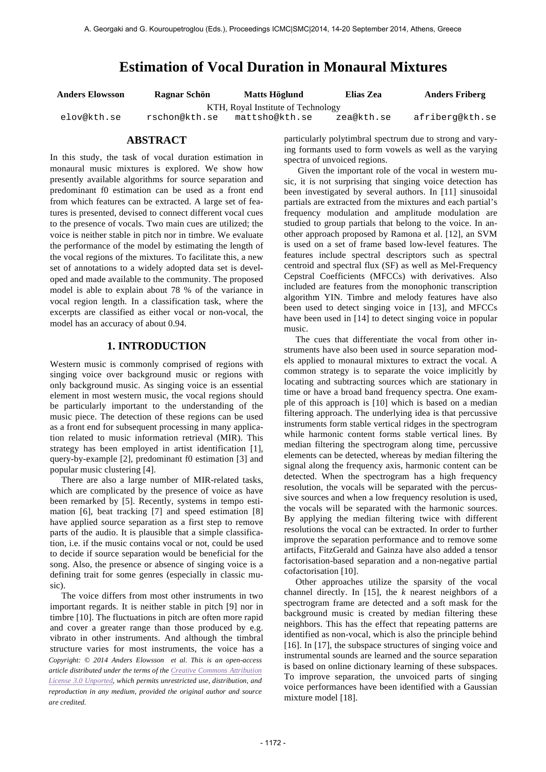# **Estimation of Vocal Duration in Monaural Mixtures**

**Anders Elowsson Ragnar Schön Matts Höglund Elias Zea Anders Friberg**

KTH, Royal Institute of Technology<br>rschon@kth.se mattsho@kth.se z elov@kth.se rschon@kth.se mattsho@kth.se zea@kth.se afriberg@kth.se

# **ABSTRACT**

In this study, the task of vocal duration estimation in monaural music mixtures is explored. We show how presently available algorithms for source separation and predominant f0 estimation can be used as a front end from which features can be extracted. A large set of features is presented, devised to connect different vocal cues to the presence of vocals. Two main cues are utilized; the voice is neither stable in pitch nor in timbre. We evaluate the performance of the model by estimating the length of the vocal regions of the mixtures. To facilitate this, a new set of annotations to a widely adopted data set is developed and made available to the community. The proposed model is able to explain about 78 % of the variance in vocal region length. In a classification task, where the excerpts are classified as either vocal or non-vocal, the model has an accuracy of about 0.94.

# **1. INTRODUCTION**

Western music is commonly comprised of regions with singing voice over background music or regions with only background music. As singing voice is an essential element in most western music, the vocal regions should be particularly important to the understanding of the music piece. The detection of these regions can be used as a front end for subsequent processing in many application related to music information retrieval (MIR). This strategy has been employed in artist identification [1], query-by-example [2], predominant f0 estimation [3] and popular music clustering [4].

 There are also a large number of MIR-related tasks, which are complicated by the presence of voice as have been remarked by [5]. Recently, systems in tempo estimation [6], beat tracking [7] and speed estimation [8] have applied source separation as a first step to remove parts of the audio. It is plausible that a simple classification, i.e. if the music contains vocal or not, could be used to decide if source separation would be beneficial for the song. Also, the presence or absence of singing voice is a defining trait for some genres (especially in classic music).

 The voice differs from most other instruments in two important regards. It is neither stable in pitch [9] nor in timbre [10]. The fluctuations in pitch are often more rapid and cover a greater range than those produced by e.g. vibrato in other instruments. And although the timbral structure varies for most instruments, the voice has a *Copyright: © 2014 Anders Elowsson et al. This is an open-access article distributed under the terms of the Creative Commons Attribution License 3.0 Unported, which permits unrestricted use, distribution, and reproduction in any medium, provided the original author and source are credited.*

particularly polytimbral spectrum due to strong and varying formants used to form vowels as well as the varying spectra of unvoiced regions.

 Given the important role of the vocal in western music, it is not surprising that singing voice detection has been investigated by several authors. In [11] sinusoidal partials are extracted from the mixtures and each partial's frequency modulation and amplitude modulation are studied to group partials that belong to the voice. In another approach proposed by Ramona et al. [12], an SVM is used on a set of frame based low-level features. The features include spectral descriptors such as spectral centroid and spectral flux (SF) as well as Mel-Frequency Cepstral Coefficients (MFCCs) with derivatives. Also included are features from the monophonic transcription algorithm YIN. Timbre and melody features have also been used to detect singing voice in [13], and MFCCs have been used in [14] to detect singing voice in popular music.

 The cues that differentiate the vocal from other instruments have also been used in source separation models applied to monaural mixtures to extract the vocal. A common strategy is to separate the voice implicitly by locating and subtracting sources which are stationary in time or have a broad band frequency spectra. One example of this approach is [10] which is based on a median filtering approach. The underlying idea is that percussive instruments form stable vertical ridges in the spectrogram while harmonic content forms stable vertical lines. By median filtering the spectrogram along time, percussive elements can be detected, whereas by median filtering the signal along the frequency axis, harmonic content can be detected. When the spectrogram has a high frequency resolution, the vocals will be separated with the percussive sources and when a low frequency resolution is used, the vocals will be separated with the harmonic sources. By applying the median filtering twice with different resolutions the vocal can be extracted. In order to further improve the separation performance and to remove some artifacts, FitzGerald and Gainza have also added a tensor factorisation-based separation and a non-negative partial cofactorisation [10].

 Other approaches utilize the sparsity of the vocal channel directly. In [15], the *k* nearest neighbors of a spectrogram frame are detected and a soft mask for the background music is created by median filtering these neighbors. This has the effect that repeating patterns are identified as non-vocal, which is also the principle behind [16]. In [17], the subspace structures of singing voice and instrumental sounds are learned and the source separation is based on online dictionary learning of these subspaces. To improve separation, the unvoiced parts of singing voice performances have been identified with a Gaussian mixture model [18].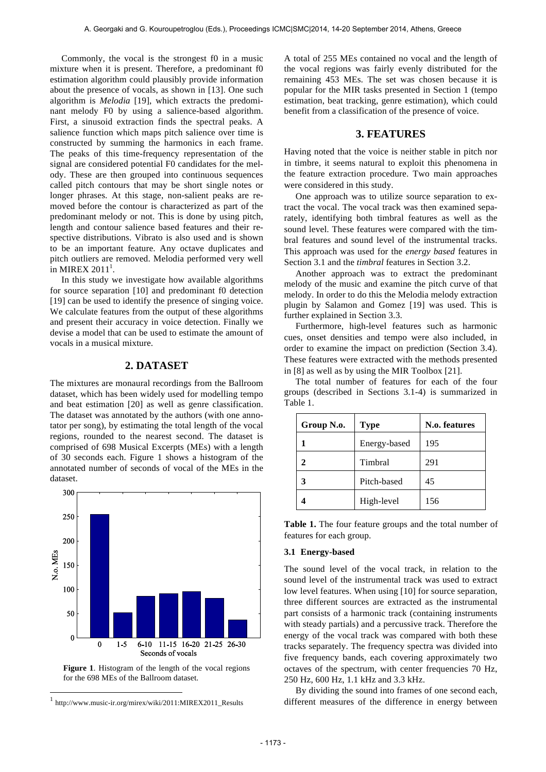Commonly, the vocal is the strongest f0 in a music mixture when it is present. Therefore, a predominant f0 estimation algorithm could plausibly provide information about the presence of vocals, as shown in [13]. One such algorithm is *Melodia* [19], which extracts the predominant melody F0 by using a salience-based algorithm. First, a sinusoid extraction finds the spectral peaks. A salience function which maps pitch salience over time is constructed by summing the harmonics in each frame. The peaks of this time-frequency representation of the signal are considered potential F0 candidates for the melody. These are then grouped into continuous sequences called pitch contours that may be short single notes or longer phrases. At this stage, non-salient peaks are removed before the contour is characterized as part of the predominant melody or not. This is done by using pitch, length and contour salience based features and their respective distributions. Vibrato is also used and is shown to be an important feature. Any octave duplicates and pitch outliers are removed. Melodia performed very well  $\frac{1}{2}$ in MIREX 2011<sup>1</sup>.

 In this study we investigate how available algorithms for source separation [10] and predominant f0 detection [19] can be used to identify the presence of singing voice. We calculate features from the output of these algorithms and present their accuracy in voice detection. Finally we devise a model that can be used to estimate the amount of vocals in a musical mixture.

# **2. DATASET**

The mixtures are monaural recordings from the Ballroom dataset, which has been widely used for modelling tempo and beat estimation [20] as well as genre classification. The dataset was annotated by the authors (with one annotator per song), by estimating the total length of the vocal regions, rounded to the nearest second. The dataset is comprised of 698 Musical Excerpts (MEs) with a length of 30 seconds each. Figure 1 shows a histogram of the annotated number of seconds of vocal of the MEs in the dataset.



Figure 1. Histogram of the length of the vocal regions for the 698 MEs of the Ballroom dataset.

 $\overline{a}$ 

A total of 255 MEs contained no vocal and the length of the vocal regions was fairly evenly distributed for the remaining 453 MEs. The set was chosen because it is popular for the MIR tasks presented in Section 1 (tempo estimation, beat tracking, genre estimation), which could benefit from a classification of the presence of voice.

# **3. FEATURES**

Having noted that the voice is neither stable in pitch nor in timbre, it seems natural to exploit this phenomena in the feature extraction procedure. Two main approaches were considered in this study.

 One approach was to utilize source separation to extract the vocal. The vocal track was then examined separately, identifying both timbral features as well as the sound level. These features were compared with the timbral features and sound level of the instrumental tracks. This approach was used for the *energy based* features in Section 3.1 and the *timbral* features in Section 3.2.

 Another approach was to extract the predominant melody of the music and examine the pitch curve of that melody. In order to do this the Melodia melody extraction plugin by Salamon and Gomez [19] was used. This is further explained in Section 3.3.

 Furthermore, high-level features such as harmonic cues, onset densities and tempo were also included, in order to examine the impact on prediction (Section 3.4). These features were extracted with the methods presented in [8] as well as by using the MIR Toolbox [21].

|                                                       | The total number of features for each of the four |  |  |  |  |  |  |
|-------------------------------------------------------|---------------------------------------------------|--|--|--|--|--|--|
| groups (described in Sections 3.1-4) is summarized in |                                                   |  |  |  |  |  |  |
| Table 1.                                              |                                                   |  |  |  |  |  |  |

| Group N.o. | <b>Type</b>  | N.o. features |  |  |
|------------|--------------|---------------|--|--|
|            | Energy-based | 195           |  |  |
| 2          | Timbral      | 291           |  |  |
| 3          | Pitch-based  | 45            |  |  |
|            | High-level   | 156           |  |  |

**Table 1.** The four feature groups and the total number of features for each group.

## **3.1 Energy-based**

The sound level of the vocal track, in relation to the sound level of the instrumental track was used to extract low level features. When using [10] for source separation, three different sources are extracted as the instrumental part consists of a harmonic track (containing instruments with steady partials) and a percussive track. Therefore the energy of the vocal track was compared with both these tracks separately. The frequency spectra was divided into five frequency bands, each covering approximately two octaves of the spectrum, with center frequencies 70 Hz, 250 Hz, 600 Hz, 1.1 kHz and 3.3 kHz.

 By dividing the sound into frames of one second each, different measures of the difference in energy between

<sup>1</sup> http://www.music-ir.org/mirex/wiki/2011:MIREX2011\_Results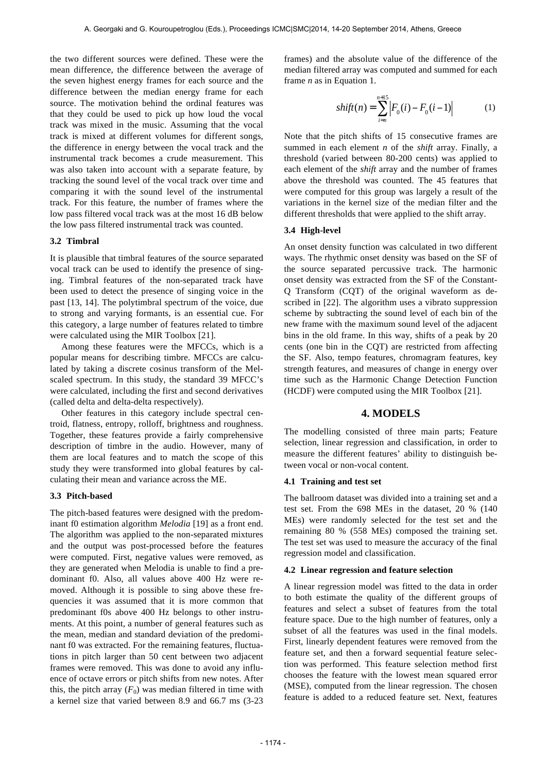the two different sources were defined. These were the mean difference, the difference between the average of the seven highest energy frames for each source and the difference between the median energy frame for each source. The motivation behind the ordinal features was that they could be used to pick up how loud the vocal track was mixed in the music. Assuming that the vocal track is mixed at different volumes for different songs, the difference in energy between the vocal track and the instrumental track becomes a crude measurement. This was also taken into account with a separate feature, by tracking the sound level of the vocal track over time and comparing it with the sound level of the instrumental track. For this feature, the number of frames where the low pass filtered vocal track was at the most 16 dB below the low pass filtered instrumental track was counted.

#### **3.2 Timbral**

It is plausible that timbral features of the source separated vocal track can be used to identify the presence of singing. Timbral features of the non-separated track have been used to detect the presence of singing voice in the past [13, 14]. The polytimbral spectrum of the voice, due to strong and varying formants, is an essential cue. For this category, a large number of features related to timbre were calculated using the MIR Toolbox [21].

 Among these features were the MFCCs, which is a popular means for describing timbre. MFCCs are calculated by taking a discrete cosinus transform of the Melscaled spectrum. In this study, the standard 39 MFCC's were calculated, including the first and second derivatives (called delta and delta-delta respectively).

 Other features in this category include spectral centroid, flatness, entropy, rolloff, brightness and roughness. Together, these features provide a fairly comprehensive description of timbre in the audio. However, many of them are local features and to match the scope of this study they were transformed into global features by calculating their mean and variance across the ME.

#### **3.3 Pitch-based**

The pitch-based features were designed with the predominant f0 estimation algorithm *Melodia* [19] as a front end. The algorithm was applied to the non-separated mixtures and the output was post-processed before the features were computed. First, negative values were removed, as they are generated when Melodia is unable to find a predominant f0. Also, all values above 400 Hz were removed. Although it is possible to sing above these frequencies it was assumed that it is more common that predominant f0s above 400 Hz belongs to other instruments. At this point, a number of general features such as the mean, median and standard deviation of the predominant f0 was extracted. For the remaining features, fluctuations in pitch larger than 50 cent between two adjacent frames were removed. This was done to avoid any influence of octave errors or pitch shifts from new notes. After this, the pitch array  $(F_0)$  was median filtered in time with a kernel size that varied between 8.9 and 66.7 ms (3-23

frames) and the absolute value of the difference of the median filtered array was computed and summed for each frame *n* as in Equation 1.

$$
shift(n) = \sum_{i=n}^{n+15} \left| F_0(i) - F_0(i-1) \right| \tag{1}
$$

Note that the pitch shifts of 15 consecutive frames are summed in each element *n* of the *shift* array. Finally, a threshold (varied between 80-200 cents) was applied to each element of the *shift* array and the number of frames above the threshold was counted. The 45 features that were computed for this group was largely a result of the variations in the kernel size of the median filter and the different thresholds that were applied to the shift array.

#### **3.4 High-level**

An onset density function was calculated in two different ways. The rhythmic onset density was based on the SF of the source separated percussive track. The harmonic onset density was extracted from the SF of the Constant-Q Transform (CQT) of the original waveform as described in [22]. The algorithm uses a vibrato suppression scheme by subtracting the sound level of each bin of the new frame with the maximum sound level of the adjacent bins in the old frame. In this way, shifts of a peak by 20 cents (one bin in the CQT) are restricted from affecting the SF. Also, tempo features, chromagram features, key strength features, and measures of change in energy over time such as the Harmonic Change Detection Function (HCDF) were computed using the MIR Toolbox [21].

#### **4. MODELS**

The modelling consisted of three main parts; Feature selection, linear regression and classification, in order to measure the different features' ability to distinguish between vocal or non-vocal content.

## **4.1 Training and test set**

The ballroom dataset was divided into a training set and a test set. From the 698 MEs in the dataset, 20 % (140 MEs) were randomly selected for the test set and the remaining 80 % (558 MEs) composed the training set. The test set was used to measure the accuracy of the final regression model and classification.

#### **4.2 Linear regression and feature selection**

A linear regression model was fitted to the data in order to both estimate the quality of the different groups of features and select a subset of features from the total feature space. Due to the high number of features, only a subset of all the features was used in the final models. First, linearly dependent features were removed from the feature set, and then a forward sequential feature selection was performed. This feature selection method first chooses the feature with the lowest mean squared error (MSE), computed from the linear regression. The chosen feature is added to a reduced feature set. Next, features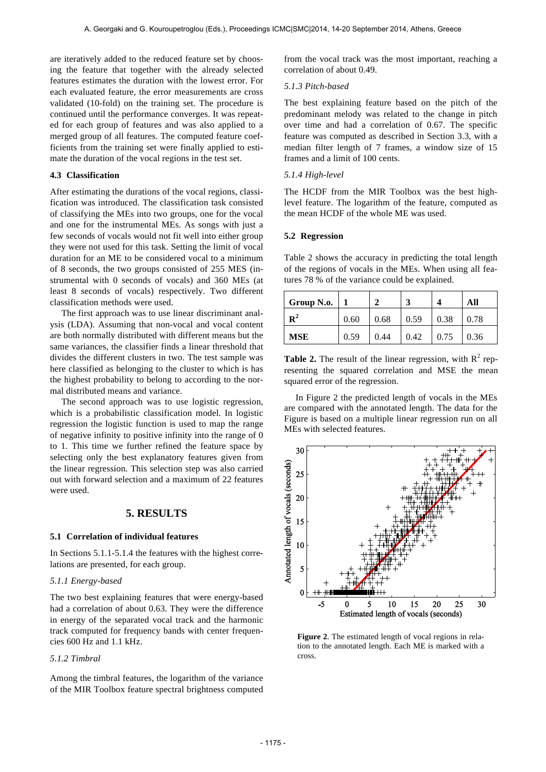are iteratively added to the reduced feature set by choosing the feature that together with the already selected features estimates the duration with the lowest error. For each evaluated feature, the error measurements are cross validated (10-fold) on the training set. The procedure is continued until the performance converges. It was repeated for each group of features and was also applied to a merged group of all features. The computed feature coefficients from the training set were finally applied to estimate the duration of the vocal regions in the test set.

# **4.3 Classification**

After estimating the durations of the vocal regions, classification was introduced. The classification task consisted of classifying the MEs into two groups, one for the vocal and one for the instrumental MEs. As songs with just a few seconds of vocals would not fit well into either group they were not used for this task. Setting the limit of vocal duration for an ME to be considered vocal to a minimum of 8 seconds, the two groups consisted of 255 MES (instrumental with 0 seconds of vocals) and 360 MEs (at least 8 seconds of vocals) respectively. Two different classification methods were used.

 The first approach was to use linear discriminant analysis (LDA). Assuming that non-vocal and vocal content are both normally distributed with different means but the same variances, the classifier finds a linear threshold that divides the different clusters in two. The test sample was here classified as belonging to the cluster to which is has the highest probability to belong to according to the normal distributed means and variance.

 The second approach was to use logistic regression, which is a probabilistic classification model. In logistic regression the logistic function is used to map the range of negative infinity to positive infinity into the range of 0 to 1. This time we further refined the feature space by selecting only the best explanatory features given from the linear regression. This selection step was also carried out with forward selection and a maximum of 22 features were used.

## **5. RESULTS**

## **5.1 Correlation of individual features**

In Sections 5.1.1-5.1.4 the features with the highest correlations are presented, for each group.

#### *5.1.1 Energy-based*

The two best explaining features that were energy-based had a correlation of about 0.63. They were the difference in energy of the separated vocal track and the harmonic track computed for frequency bands with center frequencies 600 Hz and 1.1 kHz.

# *5.1.2 Timbral*

Among the timbral features, the logarithm of the variance of the MIR Toolbox feature spectral brightness computed from the vocal track was the most important, reaching a correlation of about 0.49.

# *5.1.3 Pitch-based*

The best explaining feature based on the pitch of the predominant melody was related to the change in pitch over time and had a correlation of 0.67. The specific feature was computed as described in Section 3.3, with a median filter length of 7 frames, a window size of 15 frames and a limit of 100 cents.

# *5.1.4 High-level*

The HCDF from the MIR Toolbox was the best highlevel feature. The logarithm of the feature, computed as the mean HCDF of the whole ME was used.

#### **5.2 Regression**

Table 2 shows the accuracy in predicting the total length of the regions of vocals in the MEs. When using all features 78 % of the variance could be explained.

| Group N.o.     |      |      |      |      | All  |
|----------------|------|------|------|------|------|
| $\mathbf{R}^2$ | 0.60 | 0.68 | 0.59 | 0.38 | 0.78 |
| <b>MSE</b>     | 0.59 | 0.44 | 0.42 | 0.75 | 0.36 |

**Table 2.** The result of the linear regression, with  $R^2$  representing the squared correlation and MSE the mean squared error of the regression.

 In Figure 2 the predicted length of vocals in the MEs are compared with the annotated length. The data for the Figure is based on a multiple linear regression run on all MEs with selected features.



**Figure 2**. The estimated length of vocal regions in relation to the annotated length. Each ME is marked with a cross.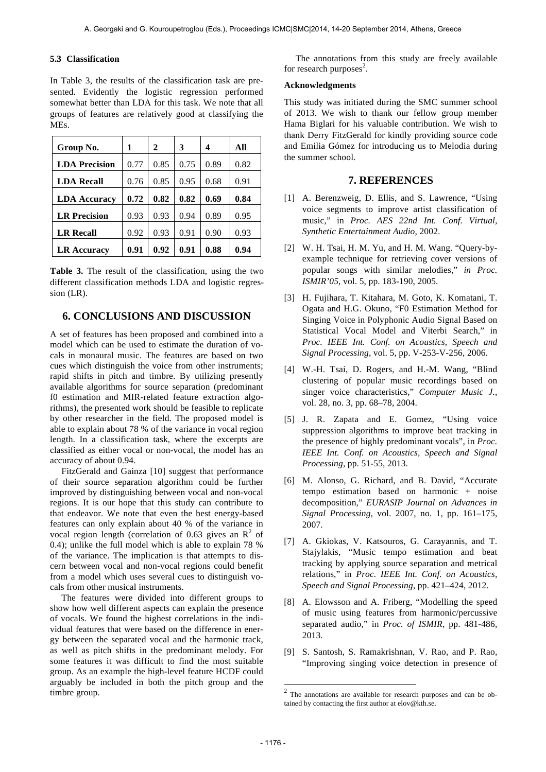## **5.3 Classification**

In Table 3, the results of the classification task are presented. Evidently the logistic regression performed somewhat better than LDA for this task. We note that all groups of features are relatively good at classifying the MEs.

| Group No.            | 1    | 2    | 3    | 4    | All  |
|----------------------|------|------|------|------|------|
| <b>LDA Precision</b> | 0.77 | 0.85 | 0.75 | 0.89 | 0.82 |
| <b>LDA Recall</b>    | 0.76 | 0.85 | 0.95 | 0.68 | 0.91 |
| <b>LDA Accuracy</b>  | 0.72 | 0.82 | 0.82 | 0.69 | 0.84 |
| <b>LR</b> Precision  | 0.93 | 0.93 | 0.94 | 0.89 | 0.95 |
| <b>LR Recall</b>     | 0.92 | 0.93 | 0.91 | 0.90 | 0.93 |
| <b>LR Accuracy</b>   | 0.91 | 0.92 | 0.91 | 0.88 | 0.94 |

**Table 3.** The result of the classification, using the two different classification methods LDA and logistic regression (LR).

# **6. CONCLUSIONS AND DISCUSSION**

A set of features has been proposed and combined into a model which can be used to estimate the duration of vocals in monaural music. The features are based on two cues which distinguish the voice from other instruments; rapid shifts in pitch and timbre. By utilizing presently available algorithms for source separation (predominant f0 estimation and MIR-related feature extraction algorithms), the presented work should be feasible to replicate by other researcher in the field. The proposed model is able to explain about 78 % of the variance in vocal region length. In a classification task, where the excerpts are classified as either vocal or non-vocal, the model has an accuracy of about 0.94.

 FitzGerald and Gainza [10] suggest that performance of their source separation algorithm could be further improved by distinguishing between vocal and non-vocal regions. It is our hope that this study can contribute to that endeavor. We note that even the best energy-based features can only explain about 40 % of the variance in vocal region length (correlation of 0.63 gives an  $\mathbb{R}^2$  of 0.4); unlike the full model which is able to explain 78 % of the variance. The implication is that attempts to discern between vocal and non-vocal regions could benefit from a model which uses several cues to distinguish vocals from other musical instruments.

 The features were divided into different groups to show how well different aspects can explain the presence of vocals. We found the highest correlations in the individual features that were based on the difference in energy between the separated vocal and the harmonic track, as well as pitch shifts in the predominant melody. For some features it was difficult to find the most suitable group. As an example the high-level feature HCDF could arguably be included in both the pitch group and the timbre group.

 The annotations from this study are freely available for research purposes<sup>2</sup>.

## **Acknowledgments**

This study was initiated during the SMC summer school of 2013. We wish to thank our fellow group member Hama Biglari for his valuable contribution. We wish to thank Derry FitzGerald for kindly providing source code and Emilia Gómez for introducing us to Melodia during the summer school.

# **7. REFERENCES**

- [1] A. Berenzweig, D. Ellis, and S. Lawrence, "Using voice segments to improve artist classification of music," in *Proc. AES 22nd Int. Conf. Virtual, Synthetic Entertainment Audio*, 2002.
- [2] W. H. Tsai, H. M. Yu, and H. M. Wang. "Query-byexample technique for retrieving cover versions of popular songs with similar melodies," *in Proc. ISMIR'05*, vol. 5, pp. 183-190, 2005.
- [3] H. Fujihara, T. Kitahara, M. Goto, K. Komatani, T. Ogata and H.G. Okuno, "F0 Estimation Method for Singing Voice in Polyphonic Audio Signal Based on Statistical Vocal Model and Viterbi Search," in *Proc. IEEE Int. Conf. on Acoustics, Speech and Signal Processing*, vol. 5, pp. V-253-V-256, 2006.
- [4] W.-H. Tsai, D. Rogers, and H.-M. Wang, "Blind clustering of popular music recordings based on singer voice characteristics," *Computer Music J.*, vol. 28, no. 3, pp. 68–78, 2004.
- [5] J. R. Zapata and E. Gomez, "Using voice suppression algorithms to improve beat tracking in the presence of highly predominant vocals", in *Proc. IEEE Int. Conf. on Acoustics, Speech and Signal Processing*, pp. 51-55, 2013.
- [6] M. Alonso, G. Richard, and B. David, "Accurate tempo estimation based on harmonic + noise decomposition," *EURASIP Journal on Advances in Signal Processing,* vol. 2007, no. 1, pp. 161–175, 2007.
- [7] A. Gkiokas, V. Katsouros, G. Carayannis, and T. Stajylakis, "Music tempo estimation and beat tracking by applying source separation and metrical relations," in *Proc. IEEE Int. Conf. on Acoustics, Speech and Signal Processing*, pp. 421–424, 2012.
- [8] A. Elowsson and A. Friberg, "Modelling the speed of music using features from harmonic/percussive separated audio," in *Proc. of ISMIR*, pp. 481-486, 2013.
- [9] S. Santosh, S. Ramakrishnan, V. Rao, and P. Rao, "Improving singing voice detection in presence of

-

<sup>2</sup> The annotations are available for research purposes and can be obtained by contacting the first author at elov@kth.se.